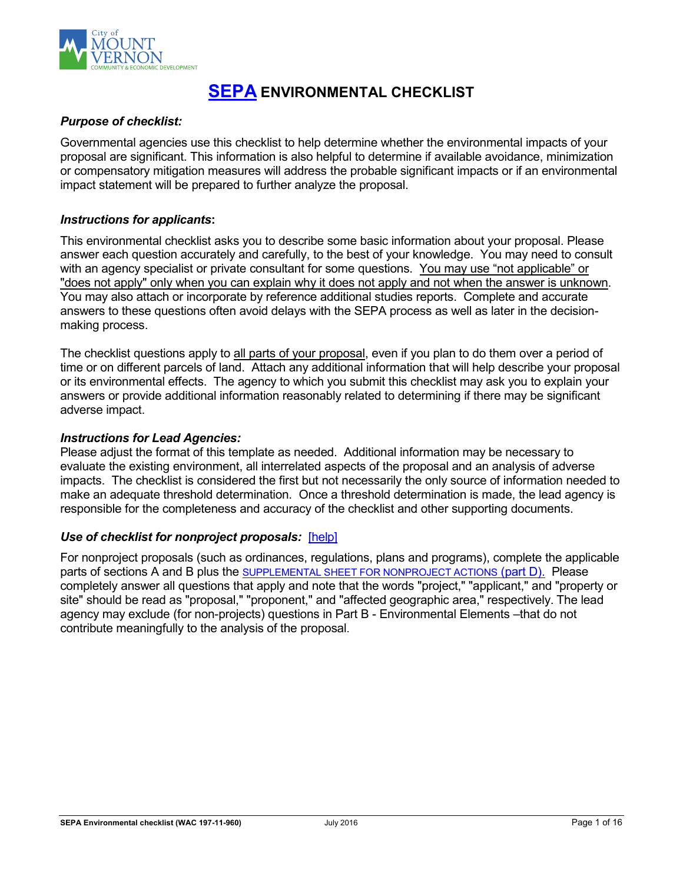

# **[SEPA](http://www.ecy.wa.gov/programs/sea/sepa/e-review.html) ENVIRONMENTAL CHECKLIST**

#### *Purpose of checklist:*

Governmental agencies use this checklist to help determine whether the environmental impacts of your proposal are significant. This information is also helpful to determine if available avoidance, minimization or compensatory mitigation measures will address the probable significant impacts or if an environmental impact statement will be prepared to further analyze the proposal.

#### *Instructions for applicants***:**

This environmental checklist asks you to describe some basic information about your proposal. Please answer each question accurately and carefully, to the best of your knowledge. You may need to consult with an agency specialist or private consultant for some questions. You may use "not applicable" or "does not apply" only when you can explain why it does not apply and not when the answer is unknown. You may also attach or incorporate by reference additional studies reports. Complete and accurate answers to these questions often avoid delays with the SEPA process as well as later in the decisionmaking process.

The checklist questions apply to all parts of your proposal, even if you plan to do them over a period of time or on different parcels of land. Attach any additional information that will help describe your proposal or its environmental effects. The agency to which you submit this checklist may ask you to explain your answers or provide additional information reasonably related to determining if there may be significant adverse impact.

#### *Instructions for Lead Agencies:*

Please adjust the format of this template as needed. Additional information may be necessary to evaluate the existing environment, all interrelated aspects of the proposal and an analysis of adverse impacts. The checklist is considered the first but not necessarily the only source of information needed to make an adequate threshold determination. Once a threshold determination is made, the lead agency is responsible for the completeness and accuracy of the checklist and other supporting documents.

#### *Use of checklist for nonproject proposals:* [\[help\]](http://www.ecy.wa.gov/programs/sea/sepa/apguide/EnvChecklistGuidance.html#Nonproject)

For nonproject proposals (such as ordinances, regulations, plans and programs), complete the applicable parts of sections A and B plus the [SUPPLEMENTAL SHEET FOR NONPROJECT ACTIONS](#page-13-0) (part D). Please completely answer all questions that apply and note that the words "project," "applicant," and "property or site" should be read as "proposal," "proponent," and "affected geographic area," respectively. The lead agency may exclude (for non-projects) questions in Part B - Environmental Elements –that do not contribute meaningfully to the analysis of the proposal.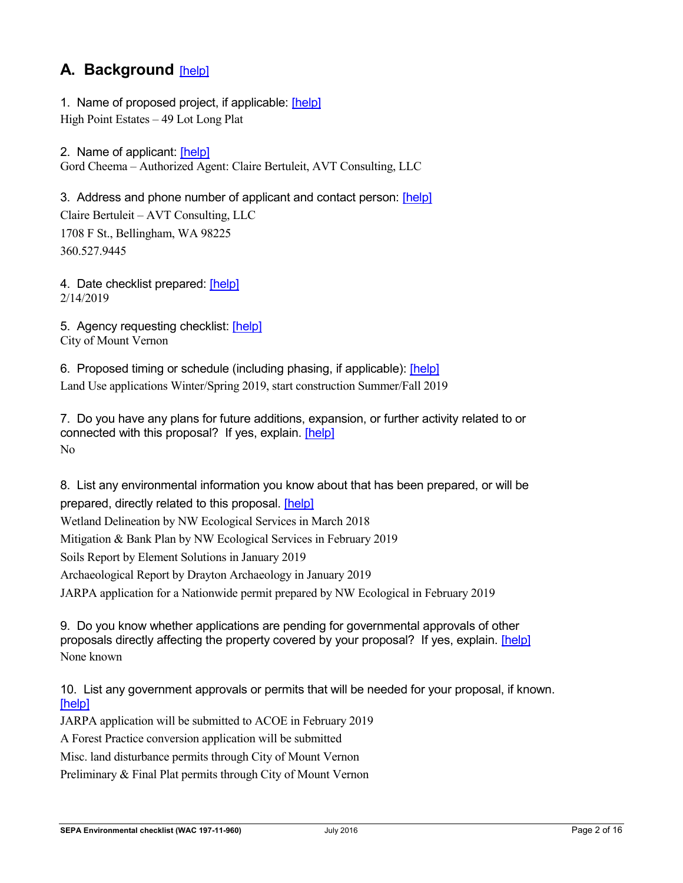# **A. Background** [\[help\]](http://www.ecy.wa.gov/programs/sea/sepa/ChecklistGuidance.html#Background)

1. Name of proposed project, if applicable: [\[help\]](http://www.ecy.wa.gov/programs/sea/sepa/ChecklistGuidance.html#Background) High Point Estates – 49 Lot Long Plat

2. Name of applicant: [\[help\]](http://www.ecy.wa.gov/programs/sea/sepa/ChecklistGuidance.html#Background) Gord Cheema – Authorized Agent: Claire Bertuleit, AVT Consulting, LLC

3. Address and phone number of applicant and contact person: [\[help\]](http://www.ecy.wa.gov/programs/sea/sepa/ChecklistGuidance.html#Background) Claire Bertuleit – AVT Consulting, LLC 1708 F St., Bellingham, WA 98225 360.527.9445

4. Date checklist prepared: [\[help\]](http://www.ecy.wa.gov/programs/sea/sepa/ChecklistGuidance.html#Background) 2/14/2019

5. Agency requesting checklist: [\[help\]](http://www.ecy.wa.gov/programs/sea/sepa/ChecklistGuidance.html#Background) City of Mount Vernon

6. Proposed timing or schedule (including phasing, if applicable): [\[help\]](http://www.ecy.wa.gov/programs/sea/sepa/ChecklistGuidance.html#Background) Land Use applications Winter/Spring 2019, start construction Summer/Fall 2019

7. Do you have any plans for future additions, expansion, or further activity related to or connected with this proposal? If yes, explain. [\[help\]](http://www.ecy.wa.gov/programs/sea/sepa/ChecklistGuidance.html#Background) No

8. List any environmental information you know about that has been prepared, or will be prepared, directly related to this proposal. [\[help\]](http://www.ecy.wa.gov/programs/sea/sepa/ChecklistGuidance.html#Background) Wetland Delineation by NW Ecological Services in March 2018 Mitigation & Bank Plan by NW Ecological Services in February 2019 Soils Report by Element Solutions in January 2019 Archaeological Report by Drayton Archaeology in January 2019 JARPA application for a Nationwide permit prepared by NW Ecological in February 2019

9. Do you know whether applications are pending for governmental approvals of other proposals directly affecting the property covered by your proposal? If yes, explain. [\[help\]](http://www.ecy.wa.gov/programs/sea/sepa/ChecklistGuidance.html#Background) None known

10. List any government approvals or permits that will be needed for your proposal, if known. [\[help\]](http://www.ecy.wa.gov/programs/sea/sepa/ChecklistGuidance.html#Background)

JARPA application will be submitted to ACOE in February 2019

A Forest Practice conversion application will be submitted

Misc. land disturbance permits through City of Mount Vernon

Preliminary & Final Plat permits through City of Mount Vernon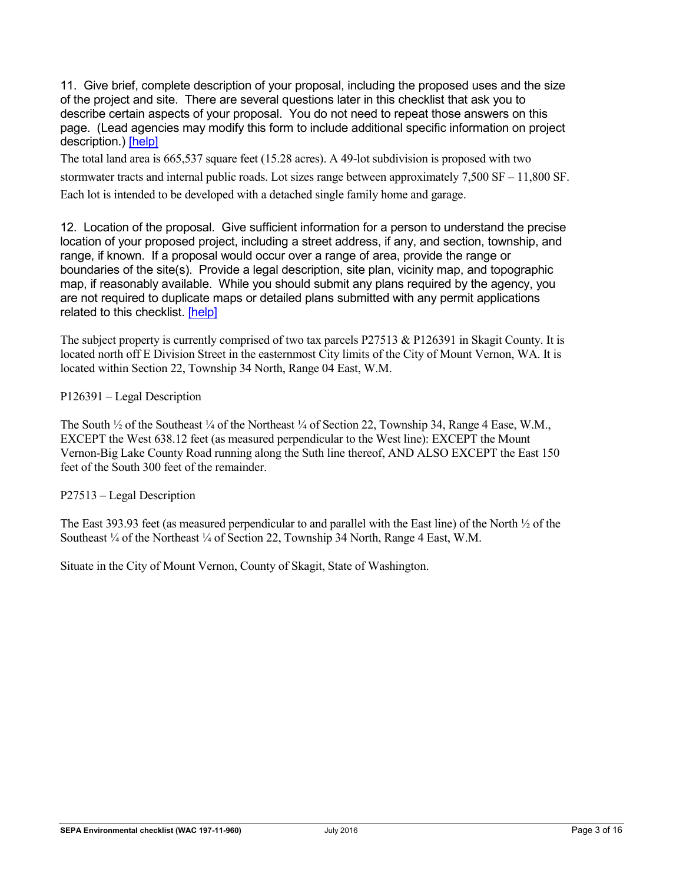11. Give brief, complete description of your proposal, including the proposed uses and the size of the project and site. There are several questions later in this checklist that ask you to describe certain aspects of your proposal. You do not need to repeat those answers on this page. (Lead agencies may modify this form to include additional specific information on project description.) [\[help\]](http://www.ecy.wa.gov/programs/sea/sepa/ChecklistGuidance.html#Background)

The total land area is 665,537 square feet (15.28 acres). A 49-lot subdivision is proposed with two stormwater tracts and internal public roads. Lot sizes range between approximately 7,500 SF – 11,800 SF. Each lot is intended to be developed with a detached single family home and garage.

12. Location of the proposal. Give sufficient information for a person to understand the precise location of your proposed project, including a street address, if any, and section, township, and range, if known. If a proposal would occur over a range of area, provide the range or boundaries of the site(s). Provide a legal description, site plan, vicinity map, and topographic map, if reasonably available. While you should submit any plans required by the agency, you are not required to duplicate maps or detailed plans submitted with any permit applications related to this checklist. [\[help\]](http://www.ecy.wa.gov/programs/sea/sepa/ChecklistGuidance.html#Background)

The subject property is currently comprised of two tax parcels P27513 & P126391 in Skagit County. It is located north off E Division Street in the easternmost City limits of the City of Mount Vernon, WA. It is located within Section 22, Township 34 North, Range 04 East, W.M.

P126391 – Legal Description

The South  $\frac{1}{2}$  of the Southeast  $\frac{1}{4}$  of the Northeast  $\frac{1}{4}$  of Section 22, Township 34, Range 4 Ease, W.M., EXCEPT the West 638.12 feet (as measured perpendicular to the West line): EXCEPT the Mount Vernon-Big Lake County Road running along the Suth line thereof, AND ALSO EXCEPT the East 150 feet of the South 300 feet of the remainder.

P27513 – Legal Description

The East 393.93 feet (as measured perpendicular to and parallel with the East line) of the North ½ of the Southeast ¼ of the Northeast ¼ of Section 22, Township 34 North, Range 4 East, W.M.

Situate in the City of Mount Vernon, County of Skagit, State of Washington.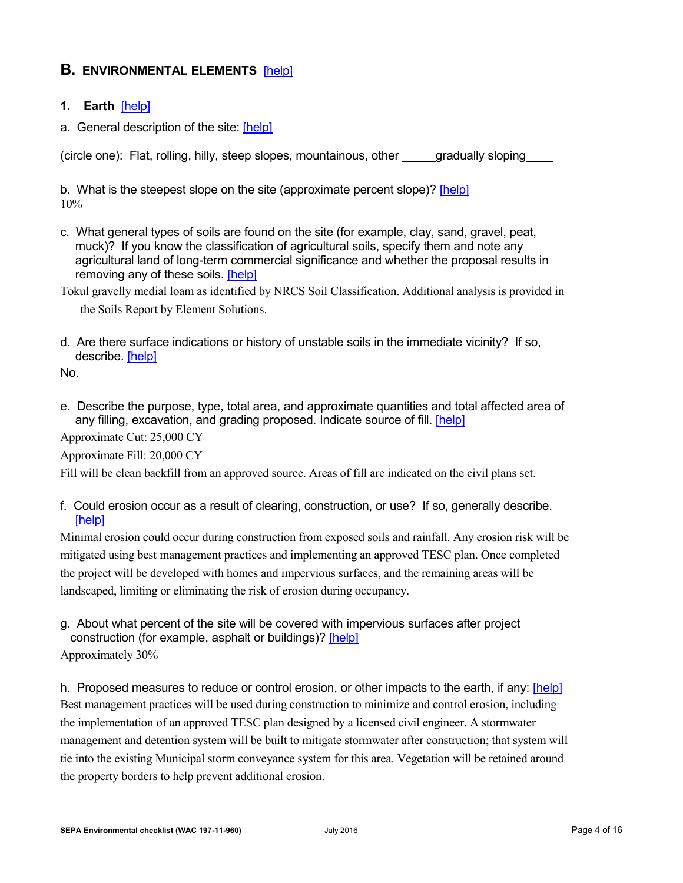# **B. ENVIRONMENTAL ELEMENTS** [\[help\]](http://www.ecy.wa.gov/programs/sea/sepa/ChecklistGuidance.html#EnvironmentalElements)

#### **1. Earth** [\[help\]](http://www.ecy.wa.gov/programs/sea/sepa/ChecklistGuidance.html#Earth)

a. General description of the site: [\[help\]](http://www.ecy.wa.gov/programs/sea/sepa/ChecklistGuidance.html#Earth)

(circle one): Flat, rolling, hilly, steep slopes, mountainous, other \_\_\_\_\_gradually sloping\_\_\_\_

b. What is the steepest slope on the site (approximate percent slope)? [\[help\]](http://www.ecy.wa.gov/programs/sea/sepa/ChecklistGuidance.html#Earth) 10%

- c. What general types of soils are found on the site (for example, clay, sand, gravel, peat, muck)? If you know the classification of agricultural soils, specify them and note any agricultural land of long-term commercial significance and whether the proposal results in removing any of these soils. [\[help\]](http://www.ecy.wa.gov/programs/sea/sepa/ChecklistGuidance.html#Earth)
- Tokul gravelly medial loam as identified by NRCS Soil Classification. Additional analysis is provided in

the Soils Report by Element Solutions.

d. Are there surface indications or history of unstable soils in the immediate vicinity? If so, describe. [\[help\]](http://www.ecy.wa.gov/programs/sea/sepa/ChecklistGuidance.html#Earth)

No.

e. Describe the purpose, type, total area, and approximate quantities and total affected area of any filling, excavation, and grading proposed. Indicate source of fill. [\[help\]](http://www.ecy.wa.gov/programs/sea/sepa/ChecklistGuidance.html#Earth)

Approximate Cut: 25,000 CY

Approximate Fill: 20,000 CY

Fill will be clean backfill from an approved source. Areas of fill are indicated on the civil plans set.

f. Could erosion occur as a result of clearing, construction, or use? If so, generally describe. [\[help\]](http://www.ecy.wa.gov/programs/sea/sepa/ChecklistGuidance.html#Earth)

Minimal erosion could occur during construction from exposed soils and rainfall. Any erosion risk will be mitigated using best management practices and implementing an approved TESC plan. Once completed the project will be developed with homes and impervious surfaces, and the remaining areas will be landscaped, limiting or eliminating the risk of erosion during occupancy.

g. About what percent of the site will be covered with impervious surfaces after project construction (for example, asphalt or buildings)? [\[help\]](http://www.ecy.wa.gov/programs/sea/sepa/ChecklistGuidance.html#Earth) Approximately 30%

h. Proposed measures to reduce or control erosion, or other impacts to the earth, if any: [\[help\]](http://www.ecy.wa.gov/programs/sea/sepa/ChecklistGuidance.html#Earth) Best management practices will be used during construction to minimize and control erosion, including the implementation of an approved TESC plan designed by a licensed civil engineer. A stormwater management and detention system will be built to mitigate stormwater after construction; that system will tie into the existing Municipal storm conveyance system for this area. Vegetation will be retained around the property borders to help prevent additional erosion.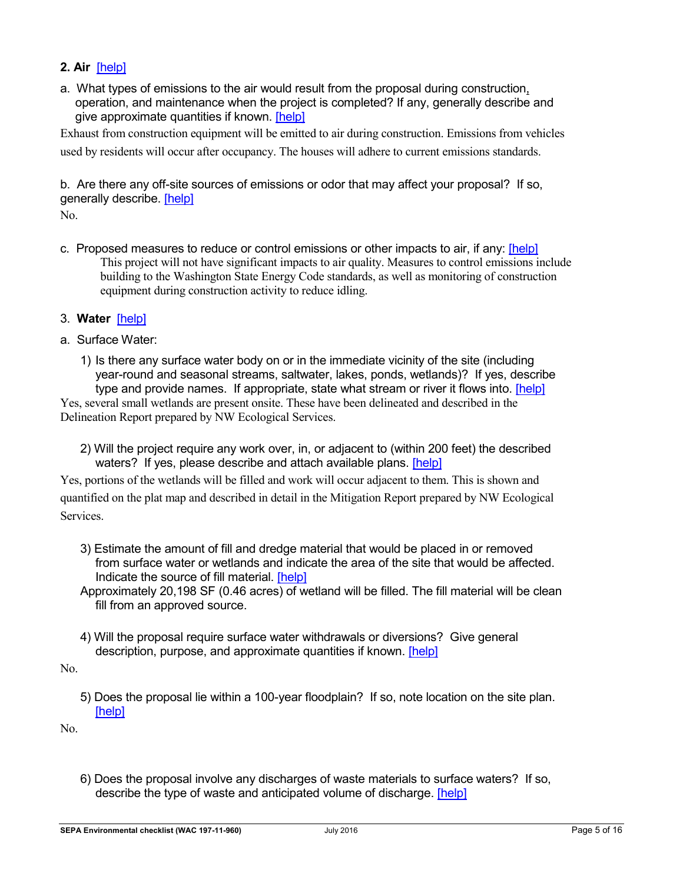## **2. Air** [\[help\]](http://www.ecy.wa.gov/programs/sea/sepa/ChecklistGuidance.html#Air)

a. What types of emissions to the air would result from the proposal during construction, operation, and maintenance when the project is completed? If any, generally describe and give approximate quantities if known. [\[help\]](http://www.ecy.wa.gov/programs/sea/sepa/ChecklistGuidance.html#Air)

Exhaust from construction equipment will be emitted to air during construction. Emissions from vehicles used by residents will occur after occupancy. The houses will adhere to current emissions standards.

b. Are there any off-site sources of emissions or odor that may affect your proposal? If so, generally describe. [\[help\]](http://www.ecy.wa.gov/programs/sea/sepa/ChecklistGuidance.html#Air)

No.

- c. Proposed measures to reduce or control emissions or other impacts to air, if any: [\[help\]](http://www.ecy.wa.gov/programs/sea/sepa/ChecklistGuidance.html#Air) This project will not have significant impacts to air quality. Measures to control emissions include building to the Washington State Energy Code standards, as well as monitoring of construction equipment during construction activity to reduce idling.
- 3. **Water** [\[help\]](http://www.ecy.wa.gov/programs/sea/sepa/ChecklistGuidance.html#Water)
- a. Surface Water:
	- 1) Is there any surface water body on or in the immediate vicinity of the site (including year-round and seasonal streams, saltwater, lakes, ponds, wetlands)? If yes, describe type and provide names. If appropriate, state what stream or river it flows into. [\[help\]](http://www.ecy.wa.gov/programs/sea/sepa/ChecklistGuidance.html#Water)

Yes, several small wetlands are present onsite. These have been delineated and described in the Delineation Report prepared by NW Ecological Services.

2) Will the project require any work over, in, or adjacent to (within 200 feet) the described waters? If yes, please describe and attach available plans. [\[help\]](http://www.ecy.wa.gov/programs/sea/sepa/ChecklistGuidance.html#Water)

Yes, portions of the wetlands will be filled and work will occur adjacent to them. This is shown and quantified on the plat map and described in detail in the Mitigation Report prepared by NW Ecological Services.

- 3) Estimate the amount of fill and dredge material that would be placed in or removed from surface water or wetlands and indicate the area of the site that would be affected. Indicate the source of fill material. [\[help\]](http://www.ecy.wa.gov/programs/sea/sepa/ChecklistGuidance.html#Water)
- Approximately 20,198 SF (0.46 acres) of wetland will be filled. The fill material will be clean fill from an approved source.
- 4) Will the proposal require surface water withdrawals or diversions? Give general description, purpose, and approximate quantities if known. [\[help\]](http://www.ecy.wa.gov/programs/sea/sepa/ChecklistGuidance.html#Water)
- No.
	- 5) Does the proposal lie within a 100-year floodplain? If so, note location on the site plan. [\[help\]](http://www.ecy.wa.gov/programs/sea/sepa/ChecklistGuidance.html#Water)

No.

6) Does the proposal involve any discharges of waste materials to surface waters? If so, describe the type of waste and anticipated volume of discharge. [\[help\]](http://www.ecy.wa.gov/programs/sea/sepa/ChecklistGuidance.html#Water)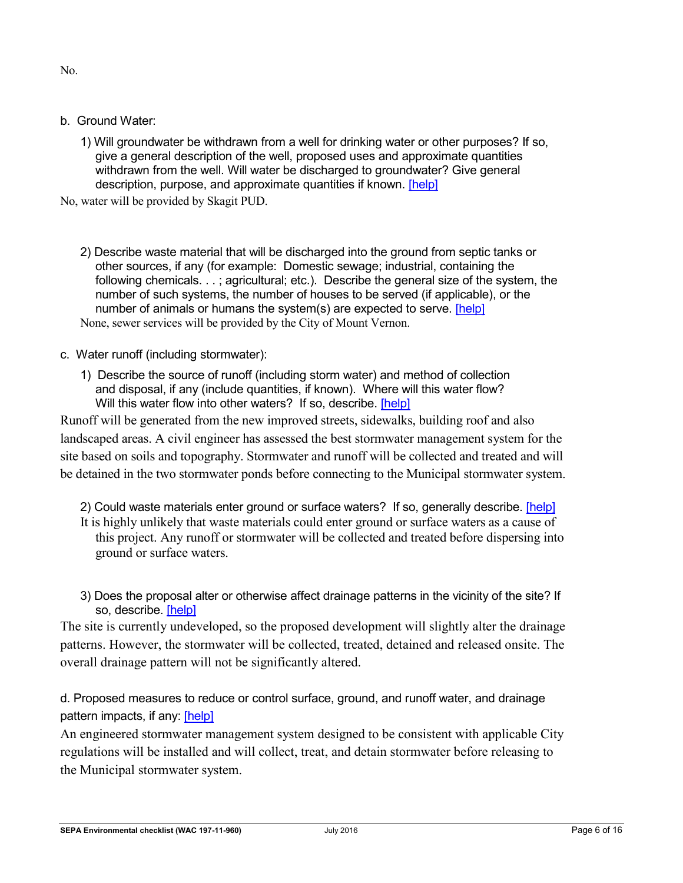No.

- b. Ground Water:
	- 1) Will groundwater be withdrawn from a well for drinking water or other purposes? If so, give a general description of the well, proposed uses and approximate quantities withdrawn from the well. Will water be discharged to groundwater? Give general description, purpose, and approximate quantities if known. [\[help\]](http://www.ecy.wa.gov/programs/sea/sepa/ChecklistGuidance.html#Water)

No, water will be provided by Skagit PUD.

- 2) Describe waste material that will be discharged into the ground from septic tanks or other sources, if any (for example: Domestic sewage; industrial, containing the following chemicals. . . ; agricultural; etc.). Describe the general size of the system, the number of such systems, the number of houses to be served (if applicable), or the number of animals or humans the system(s) are expected to serve. [\[help\]](http://www.ecy.wa.gov/programs/sea/sepa/ChecklistGuidance.html#Water) None, sewer services will be provided by the City of Mount Vernon.
- c. Water runoff (including stormwater):
	- 1) Describe the source of runoff (including storm water) and method of collection and disposal, if any (include quantities, if known). Where will this water flow? Will this water flow into other waters? If so, describe. [\[help\]](http://www.ecy.wa.gov/programs/sea/sepa/ChecklistGuidance.html#Water)

Runoff will be generated from the new improved streets, sidewalks, building roof and also landscaped areas. A civil engineer has assessed the best stormwater management system for the site based on soils and topography. Stormwater and runoff will be collected and treated and will be detained in the two stormwater ponds before connecting to the Municipal stormwater system.

- 2) Could waste materials enter ground or surface waters? If so, generally describe. [\[help\]](http://www.ecy.wa.gov/programs/sea/sepa/ChecklistGuidance.html#Water)
- It is highly unlikely that waste materials could enter ground or surface waters as a cause of this project. Any runoff or stormwater will be collected and treated before dispersing into ground or surface waters.
- 3) Does the proposal alter or otherwise affect drainage patterns in the vicinity of the site? If so, describe. [\[help\]](http://www.ecy.wa.gov/programs/sea/sepa/ChecklistGuidance.html#Water)

The site is currently undeveloped, so the proposed development will slightly alter the drainage patterns. However, the stormwater will be collected, treated, detained and released onsite. The overall drainage pattern will not be significantly altered.

d. Proposed measures to reduce or control surface, ground, and runoff water, and drainage pattern impacts, if any: [\[help\]](http://www.ecy.wa.gov/programs/sea/sepa/ChecklistGuidance.html#Water)

An engineered stormwater management system designed to be consistent with applicable City regulations will be installed and will collect, treat, and detain stormwater before releasing to the Municipal stormwater system.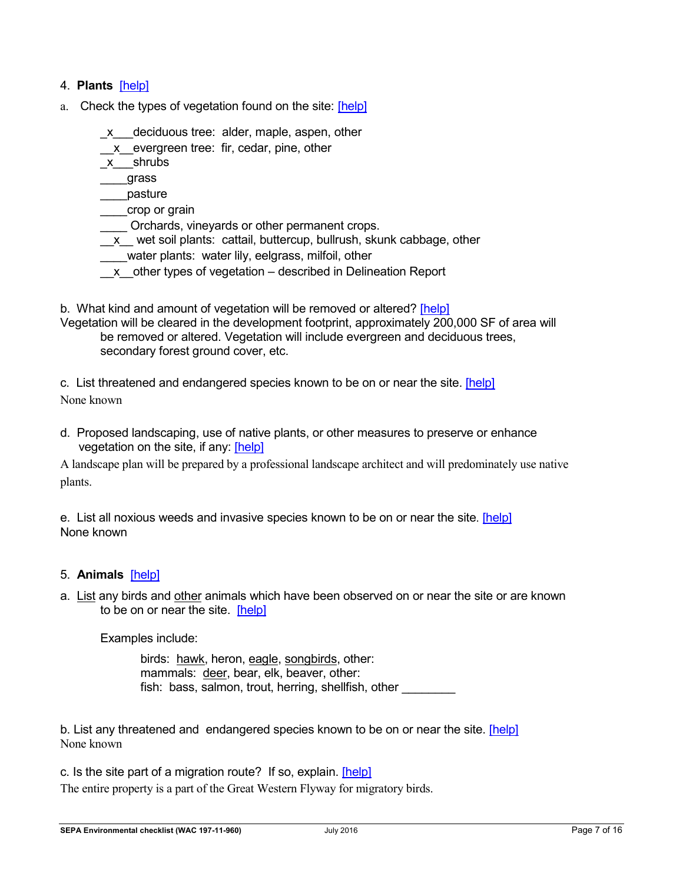### 4. **Plants** [\[help\]](http://www.ecy.wa.gov/programs/sea/sepa/ChecklistGuidance.html#Plants)

- a. Check the types of vegetation found on the site: [\[help\]](http://www.ecy.wa.gov/programs/sea/sepa/ChecklistGuidance.html#Plants)
	- x deciduous tree: alder, maple, aspen, other
	- x evergreen tree: fir, cedar, pine, other
	- \_x\_\_\_shrubs
	- \_\_\_\_grass
	- \_\_\_\_pasture
	- \_\_\_\_crop or grain
	- \_\_\_\_ Orchards, vineyards or other permanent crops.
	- \_\_x\_\_ wet soil plants: cattail, buttercup, bullrush, skunk cabbage, other
	- water plants: water lily, eelgrass, milfoil, other
	- \_\_x\_\_other types of vegetation described in Delineation Report
- b. What kind and amount of vegetation will be removed or altered? [\[help\]](http://www.ecy.wa.gov/programs/sea/sepa/ChecklistGuidance.html#Plants)
- Vegetation will be cleared in the development footprint, approximately 200,000 SF of area will be removed or altered. Vegetation will include evergreen and deciduous trees, secondary forest ground cover, etc.

c. List threatened and endangered species known to be on or near the site. [\[help\]](http://www.ecy.wa.gov/programs/sea/sepa/ChecklistGuidance.html#Plants) None known

d. Proposed landscaping, use of native plants, or other measures to preserve or enhance vegetation on the site, if any: [\[help\]](http://www.ecy.wa.gov/programs/sea/sepa/ChecklistGuidance.html#Plants)

A landscape plan will be prepared by a professional landscape architect and will predominately use native plants.

e. List all noxious weeds and invasive species known to be on or near the site. [\[help\]](http://www.ecy.wa.gov/programs/sea/sepa/ChecklistGuidance.html#Plants) None known

#### 5. **Animals** [\[help\]](http://www.ecy.wa.gov/programs/sea/sepa/apguide/EnvChecklistGuidance.html#Animals)

a. List any birds and other animals which have been observed on or near the site or are known to be on or near the site. [\[help\]](http://www.ecy.wa.gov/programs/sea/sepa/ChecklistGuidance.html#Animals) 

Examples include:

birds: hawk, heron, eagle, songbirds, other: mammals: deer, bear, elk, beaver, other: fish: bass, salmon, trout, herring, shellfish, other

b. List any threatened and endangered species known to be on or near the site. [\[help\]](http://www.ecy.wa.gov/programs/sea/sepa/ChecklistGuidance.html#Animals) None known

c. Is the site part of a migration route? If so, explain. [\[help\]](http://www.ecy.wa.gov/programs/sea/sepa/ChecklistGuidance.html#Animals) The entire property is a part of the Great Western Flyway for migratory birds.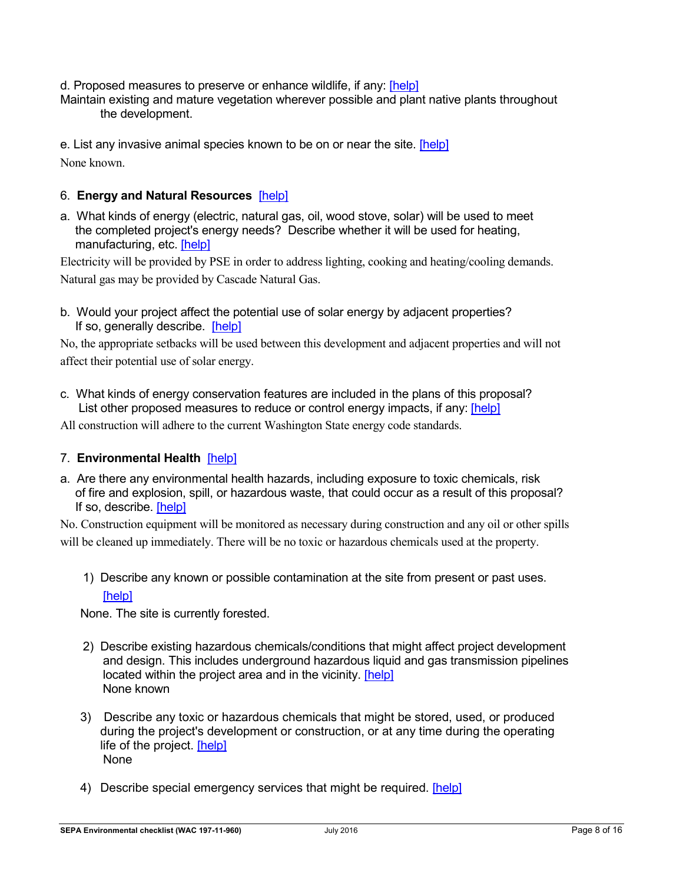d. Proposed measures to preserve or enhance wildlife, if any: [\[help\]](http://www.ecy.wa.gov/programs/sea/sepa/ChecklistGuidance.html#Animals)

Maintain existing and mature vegetation wherever possible and plant native plants throughout the development.

e. List any invasive animal species known to be on or near the site. [\[help\]](http://www.ecy.wa.gov/programs/sea/sepa/ChecklistGuidance.html#Animals) None known.

#### 6. **Energy and Natural Resources** [\[help\]](http://www.ecy.wa.gov/programs/sea/sepa/ChecklistGuidance.html#EnergyNaturalResources)

a. What kinds of energy (electric, natural gas, oil, wood stove, solar) will be used to meet the completed project's energy needs? Describe whether it will be used for heating, manufacturing, etc. [\[help\]](http://www.ecy.wa.gov/programs/sea/sepa/ChecklistGuidance.html#EnergyNaturalResources)

Electricity will be provided by PSE in order to address lighting, cooking and heating/cooling demands. Natural gas may be provided by Cascade Natural Gas.

b. Would your project affect the potential use of solar energy by adjacent properties? If so, generally describe. [\[help\]](http://www.ecy.wa.gov/programs/sea/sepa/ChecklistGuidance.html#EnergyNaturalResources)

No, the appropriate setbacks will be used between this development and adjacent properties and will not affect their potential use of solar energy.

c. What kinds of energy conservation features are included in the plans of this proposal? List other proposed measures to reduce or control energy impacts, if any: [\[help\]](http://www.ecy.wa.gov/programs/sea/sepa/ChecklistGuidance.html#EnergyNaturalResources)

All construction will adhere to the current Washington State energy code standards.

#### 7. **Environmental Health** [\[help\]](http://www.ecy.wa.gov/programs/sea/sepa/ChecklistGuidance.html#EnvironmentalHealth)

a. Are there any environmental health hazards, including exposure to toxic chemicals, risk of fire and explosion, spill, or hazardous waste, that could occur as a result of this proposal? If so, describe. [\[help\]](http://www.ecy.wa.gov/programs/sea/sepa/ChecklistGuidance.html#EnvironmentalHealth)

No. Construction equipment will be monitored as necessary during construction and any oil or other spills will be cleaned up immediately. There will be no toxic or hazardous chemicals used at the property.

1) Describe any known or possible contamination at the site from present or past uses. [\[help\]](http://www.ecy.wa.gov/programs/sea/sepa/ChecklistGuidance.html#EnvironmentalHealth)

None. The site is currently forested.

- 2) Describe existing hazardous chemicals/conditions that might affect project development and design. This includes underground hazardous liquid and gas transmission pipelines located within the project area and in the vicinity. [\[help\]](http://www.ecy.wa.gov/programs/sea/sepa/ChecklistGuidance.html#EnvironmentalHealth) None known
- 3) Describe any toxic or hazardous chemicals that might be stored, used, or produced during the project's development or construction, or at any time during the operating life of the project. [\[help\]](http://www.ecy.wa.gov/programs/sea/sepa/ChecklistGuidance.html#EnvironmentalHealth) None
- 4) Describe special emergency services that might be required. [\[help\]](http://www.ecy.wa.gov/programs/sea/sepa/ChecklistGuidance.html#EnvironmentalHealth)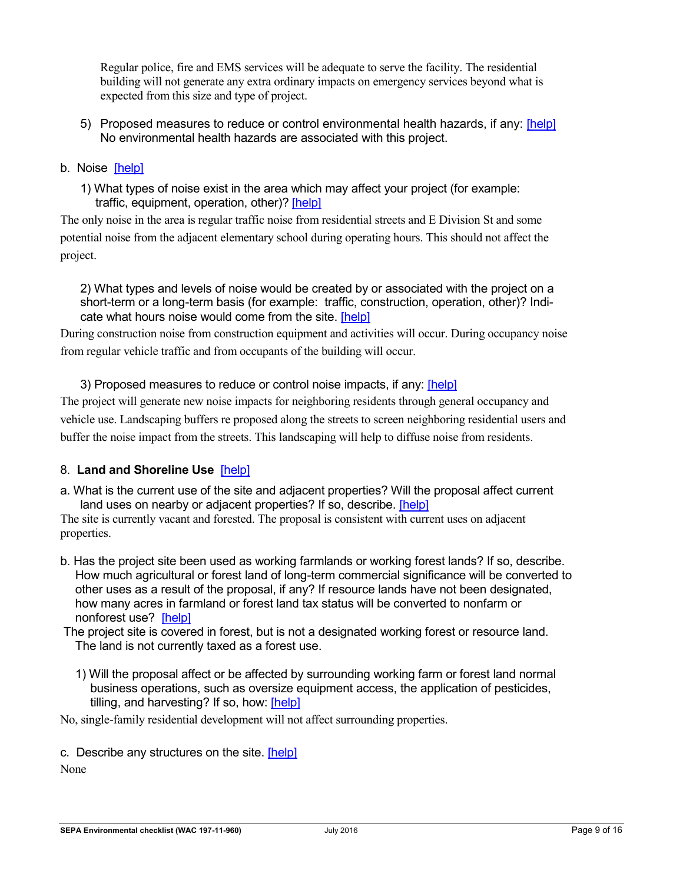Regular police, fire and EMS services will be adequate to serve the facility. The residential building will not generate any extra ordinary impacts on emergency services beyond what is expected from this size and type of project.

- 5) Proposed measures to reduce or control environmental health hazards, if any: [\[help\]](http://www.ecy.wa.gov/programs/sea/sepa/ChecklistGuidance.html#EnvironmentalHealth) No environmental health hazards are associated with this project.
- b.Noise [\[help\]](http://www.ecy.wa.gov/programs/sea/sepa/ChecklistGuidance.html#EnvironmentalHealth)
	- 1) What types of noise exist in the area which may affect your project (for example: traffic, equipment, operation, other)? [\[help\]](http://www.ecy.wa.gov/programs/sea/sepa/ChecklistGuidance.html#EnvironmentalHealth)

The only noise in the area is regular traffic noise from residential streets and E Division St and some potential noise from the adjacent elementary school during operating hours. This should not affect the project.

2) What types and levels of noise would be created by or associated with the project on a short-term or a long-term basis (for example: traffic, construction, operation, other)? Indicate what hours noise would come from the site. [\[help\]](http://www.ecy.wa.gov/programs/sea/sepa/ChecklistGuidance.html#EnvironmentalHealth)

During construction noise from construction equipment and activities will occur. During occupancy noise from regular vehicle traffic and from occupants of the building will occur.

3) Proposed measures to reduce or control noise impacts, if any: [\[help\]](http://www.ecy.wa.gov/programs/sea/sepa/ChecklistGuidance.html#EnvironmentalHealth)

The project will generate new noise impacts for neighboring residents through general occupancy and vehicle use. Landscaping buffers re proposed along the streets to screen neighboring residential users and buffer the noise impact from the streets. This landscaping will help to diffuse noise from residents.

# 8. **Land and Shoreline Use** [\[help\]](http://www.ecy.wa.gov/programs/sea/sepa/ChecklistGuidance.html#LandShorelineUse)

a. What is the current use of the site and adjacent properties? Will the proposal affect current land uses on nearby or adjacent properties? If so, describe. [\[help\]](http://www.ecy.wa.gov/programs/sea/sepa/ChecklistGuidance.html#LandShorelineUse)

The site is currently vacant and forested. The proposal is consistent with current uses on adjacent properties.

- b. Has the project site been used as working farmlands or working forest lands? If so, describe. How much agricultural or forest land of long-term commercial significance will be converted to other uses as a result of the proposal, if any? If resource lands have not been designated, how many acres in farmland or forest land tax status will be converted to nonfarm or nonforest use? [\[help\]](http://www.ecy.wa.gov/programs/sea/sepa/ChecklistGuidance.html#LandShorelineUse)
- The project site is covered in forest, but is not a designated working forest or resource land. The land is not currently taxed as a forest use.
	- 1) Will the proposal affect or be affected by surrounding working farm or forest land normal business operations, such as oversize equipment access, the application of pesticides, tilling, and harvesting? If so, how: [\[help\]](http://www.ecy.wa.gov/programs/sea/sepa/ChecklistGuidance.html#LandShorelineUse)

No, single-family residential development will not affect surrounding properties.

c. Describe any structures on the site. [\[help\]](http://www.ecy.wa.gov/programs/sea/sepa/ChecklistGuidance.html#LandShorelineUse) None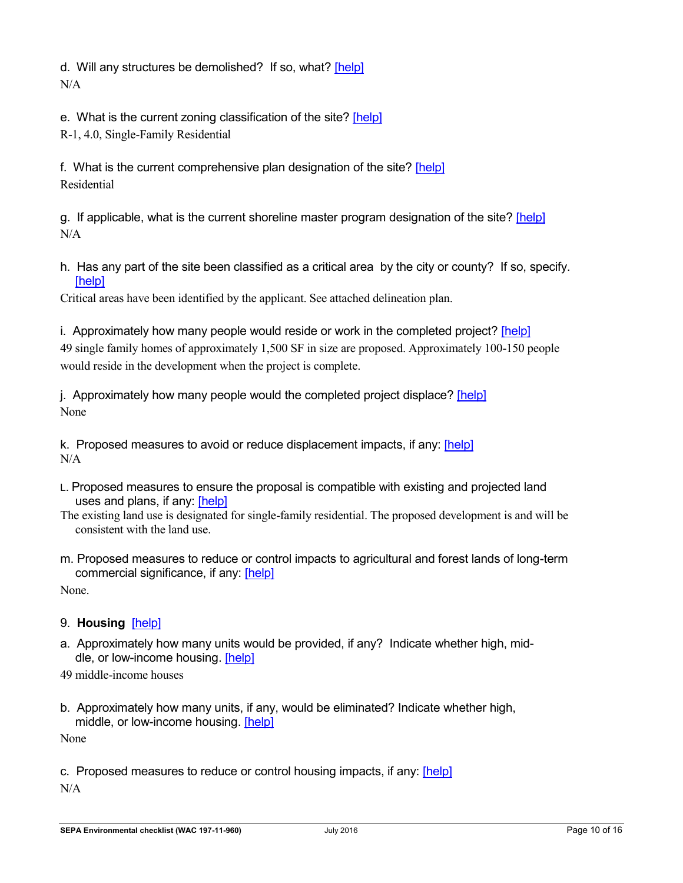d. Will any structures be demolished? If so, what? [\[help\]](http://www.ecy.wa.gov/programs/sea/sepa/ChecklistGuidance.html#LandShorelineUse) N/A

e. What is the current zoning classification of the site? [\[help\]](http://www.ecy.wa.gov/programs/sea/sepa/ChecklistGuidance.html#LandShorelineUse)

R-1, 4.0, Single-Family Residential

f. What is the current comprehensive plan designation of the site? [\[help\]](http://www.ecy.wa.gov/programs/sea/sepa/ChecklistGuidance.html#LandShorelineUse) Residential

g. If applicable, what is the current shoreline master program designation of the site? [\[help\]](http://www.ecy.wa.gov/programs/sea/sepa/ChecklistGuidance.html#LandShorelineUse) N/A

h. Has any part of the site been classified as a critical area by the city or county? If so, specify. [\[help\]](http://www.ecy.wa.gov/programs/sea/sepa/ChecklistGuidance.html#LandShorelineUse)

Critical areas have been identified by the applicant. See attached delineation plan.

i. Approximately how many people would reside or work in the completed project? [\[help\]](http://www.ecy.wa.gov/programs/sea/sepa/ChecklistGuidance.html#LandShorelineUse)

49 single family homes of approximately 1,500 SF in size are proposed. Approximately 100-150 people would reside in the development when the project is complete.

j. Approximately how many people would the completed project displace? [\[help\]](http://www.ecy.wa.gov/programs/sea/sepa/ChecklistGuidance.html#LandShorelineUse) None

k. Proposed measures to avoid or reduce displacement impacts, if any: [\[help\]](http://www.ecy.wa.gov/programs/sea/sepa/ChecklistGuidance.html#LandShorelineUse) N/A

- L. Proposed measures to ensure the proposal is compatible with existing and projected land uses and plans, if any: [\[help\]](http://www.ecy.wa.gov/programs/sea/sepa/ChecklistGuidance.html#LandShorelineUse)
- The existing land use is designated for single-family residential. The proposed development is and will be consistent with the land use.
- m. Proposed measures to reduce or control impacts to agricultural and forest lands of long-term commercial significance, if any: [\[help\]](http://www.ecy.wa.gov/programs/sea/sepa/ChecklistGuidance.html#LandShorelineUse)

None.

- 9. **Housing** [\[help\]](http://www.ecy.wa.gov/programs/sea/sepa/ChecklistGuidance.html#Housing)
- a. Approximately how many units would be provided, if any? Indicate whether high, middle, or low-income housing. [\[help\]](http://www.ecy.wa.gov/programs/sea/sepa/ChecklistGuidance.html#Housing)
- 49 middle-income houses
- b. Approximately how many units, if any, would be eliminated? Indicate whether high, middle, or low-income housing. [\[help\]](http://www.ecy.wa.gov/programs/sea/sepa/ChecklistGuidance.html#Housing)

None

c. Proposed measures to reduce or control housing impacts, if any: [\[help\]](http://www.ecy.wa.gov/programs/sea/sepa/ChecklistGuidance.html#Housing) N/A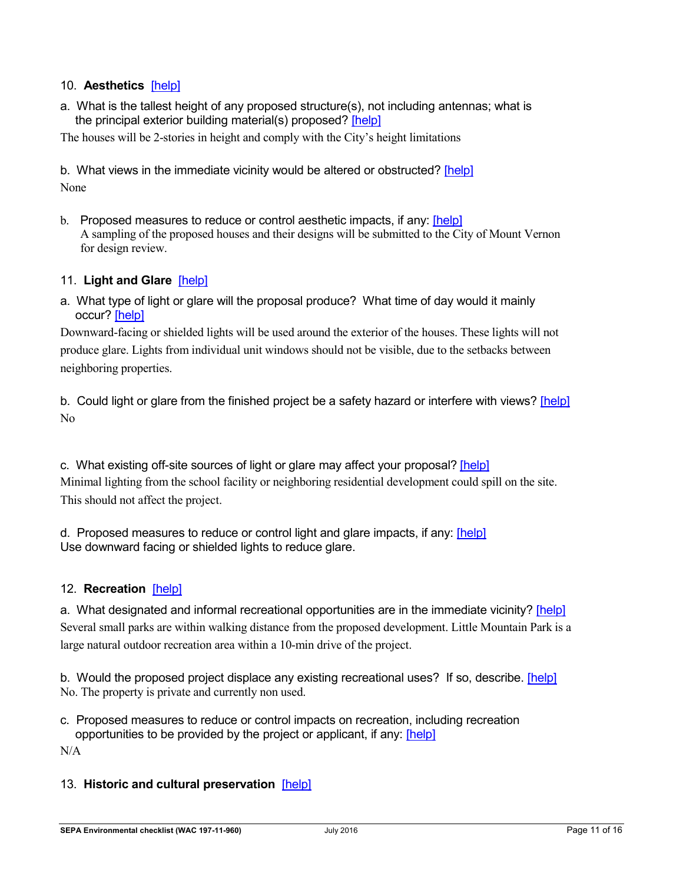## 10. **Aesthetics** [\[help\]](http://www.ecy.wa.gov/programs/sea/sepa/ChecklistGuidance.html#Aesthetics)

a. What is the tallest height of any proposed structure(s), not including antennas; what is the principal exterior building material(s) proposed? [\[help\]](http://www.ecy.wa.gov/programs/sea/sepa/ChecklistGuidance.html#Aesthetics)

The houses will be 2-stories in height and comply with the City's height limitations

b. What views in the immediate vicinity would be altered or obstructed? [\[help\]](http://www.ecy.wa.gov/programs/sea/sepa/ChecklistGuidance.html#Aesthetics) None

b. Proposed measures to reduce or control aesthetic impacts, if any: [\[help\]](http://www.ecy.wa.gov/programs/sea/sepa/ChecklistGuidance.html#Aesthetics) A sampling of the proposed houses and their designs will be submitted to the City of Mount Vernon for design review.

#### 11. **Light and Glare** [\[help\]](http://www.ecy.wa.gov/programs/sea/sepa/ChecklistGuidance.html#LightGlare)

a. What type of light or glare will the proposal produce? What time of day would it mainly occur? [\[help\]](http://www.ecy.wa.gov/programs/sea/sepa/ChecklistGuidance.html#LightGlare)

Downward-facing or shielded lights will be used around the exterior of the houses. These lights will not produce glare. Lights from individual unit windows should not be visible, due to the setbacks between neighboring properties.

b. Could light or glare from the finished project be a safety hazard or interfere with views? [\[help\]](http://www.ecy.wa.gov/programs/sea/sepa/ChecklistGuidance.html#LightGlare) No

c. What existing off-site sources of light or glare may affect your proposal? [\[help\]](http://www.ecy.wa.gov/programs/sea/sepa/ChecklistGuidance.html#LightGlare) Minimal lighting from the school facility or neighboring residential development could spill on the site. This should not affect the project.

d. Proposed measures to reduce or control light and glare impacts, if any: [\[help\]](http://www.ecy.wa.gov/programs/sea/sepa/ChecklistGuidance.html#LightGlare) Use downward facing or shielded lights to reduce glare.

#### 12. **Recreation** [\[help\]](http://www.ecy.wa.gov/programs/sea/sepa/ChecklistGuidance.html#Recreation)

a. What designated and informal recreational opportunities are in the immediate vicinity? [\[help\]](http://www.ecy.wa.gov/programs/sea/sepa/ChecklistGuidance.html#Recreation) Several small parks are within walking distance from the proposed development. Little Mountain Park is a large natural outdoor recreation area within a 10-min drive of the project.

b. Would the proposed project displace any existing recreational uses? If so, describe. [\[help\]](http://www.ecy.wa.gov/programs/sea/sepa/ChecklistGuidance.html#Recreation) No. The property is private and currently non used.

c. Proposed measures to reduce or control impacts on recreation, including recreation opportunities to be provided by the project or applicant, if any: [\[help\]](http://www.ecy.wa.gov/programs/sea/sepa/ChecklistGuidance.html#Recreation)

N/A

#### 13. **Historic and cultural preservation** [\[help\]](http://www.ecy.wa.gov/programs/sea/sepa/ChecklistGuidance.html#HistoricCulturalPreservation)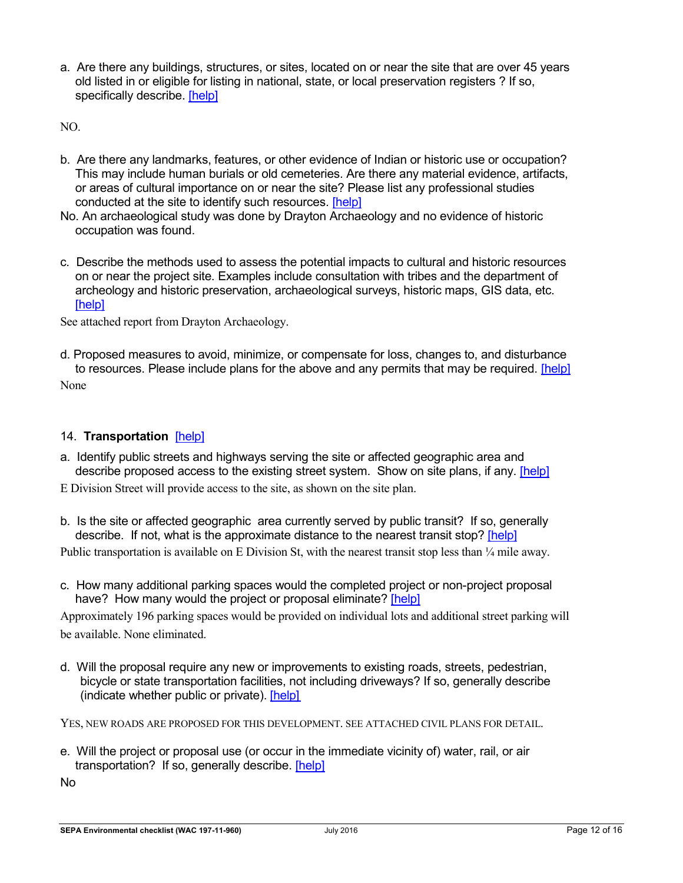a. Are there any buildings, structures, or sites, located on or near the site that are over 45 years old listed in or eligible for listing in national, state, or local preservation registers ? If so, specifically describe. [\[help\]](http://www.ecy.wa.gov/programs/sea/sepa/ChecklistGuidance.html#HistoricCulturalPreservation)

NO.

- b. Are there any landmarks, features, or other evidence of Indian or historic use or occupation? This may include human burials or old cemeteries. Are there any material evidence, artifacts, or areas of cultural importance on or near the site? Please list any professional studies conducted at the site to identify such resources. [\[help\]](http://www.ecy.wa.gov/programs/sea/sepa/ChecklistGuidance.html#HistoricCulturalPreservation)
- No. An archaeological study was done by Drayton Archaeology and no evidence of historic occupation was found.
- c. Describe the methods used to assess the potential impacts to cultural and historic resources on or near the project site. Examples include consultation with tribes and the department of archeology and historic preservation, archaeological surveys, historic maps, GIS data, etc. [\[help\]](http://www.ecy.wa.gov/programs/sea/sepa/ChecklistGuidance.html#HistoricCulturalPreservation)

See attached report from Drayton Archaeology.

d. Proposed measures to avoid, minimize, or compensate for loss, changes to, and disturbance to resources. Please include plans for the above and any permits that may be required. [\[help\]](http://www.ecy.wa.gov/programs/sea/sepa/ChecklistGuidance.html#HistoricCulturalPreservation) None

### 14. **Transportation** [\[help\]](http://www.ecy.wa.gov/programs/sea/sepa/ChecklistGuidance.html#Transportation)

- a. Identify public streets and highways serving the site or affected geographic area and describe proposed access to the existing street system. Show on site plans, if any. [\[help\]](http://www.ecy.wa.gov/programs/sea/sepa/ChecklistGuidance.html#Transportation)
- E Division Street will provide access to the site, as shown on the site plan.
- b. Is the site or affected geographic area currently served by public transit? If so, generally describe. If not, what is the approximate distance to the nearest transit stop? [\[help\]](http://www.ecy.wa.gov/programs/sea/sepa/ChecklistGuidance.html#Transportation)

Public transportation is available on E Division St, with the nearest transit stop less than  $\frac{1}{4}$  mile away.

c. How many additional parking spaces would the completed project or non-project proposal have? How many would the project or proposal eliminate? [\[help\]](http://www.ecy.wa.gov/programs/sea/sepa/ChecklistGuidance.html#Transportation)

Approximately 196 parking spaces would be provided on individual lots and additional street parking will be available. None eliminated.

d. Will the proposal require any new or improvements to existing roads, streets, pedestrian, bicycle or state transportation facilities, not including driveways? If so, generally describe (indicate whether public or private). [\[help\]](http://www.ecy.wa.gov/programs/sea/sepa/ChecklistGuidance.html#Transportation)

YES, NEW ROADS ARE PROPOSED FOR THIS DEVELOPMENT. SEE ATTACHED CIVIL PLANS FOR DETAIL.

e. Will the project or proposal use (or occur in the immediate vicinity of) water, rail, or air transportation? If so, generally describe. [\[help\]](http://www.ecy.wa.gov/programs/sea/sepa/ChecklistGuidance.html#Transportation)

No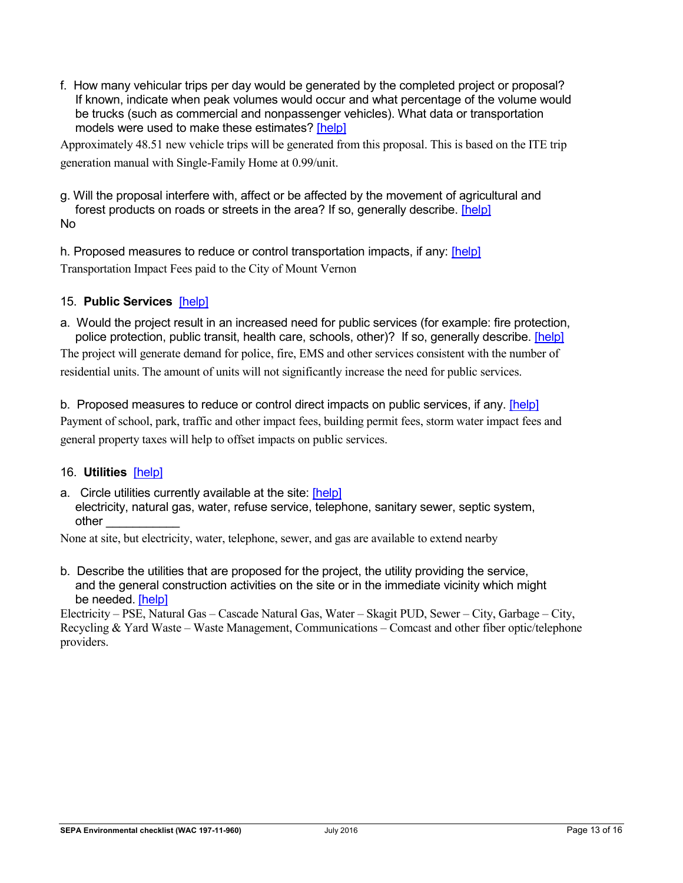f. How many vehicular trips per day would be generated by the completed project or proposal? If known, indicate when peak volumes would occur and what percentage of the volume would be trucks (such as commercial and nonpassenger vehicles). What data or transportation models were used to make these estimates? [\[help\]](http://www.ecy.wa.gov/programs/sea/sepa/ChecklistGuidance.html#Transportation)

Approximately 48.51 new vehicle trips will be generated from this proposal. This is based on the ITE trip generation manual with Single-Family Home at 0.99/unit.

g. Will the proposal interfere with, affect or be affected by the movement of agricultural and forest products on roads or streets in the area? If so, generally describe. [\[help\]](http://www.ecy.wa.gov/programs/sea/sepa/ChecklistGuidance.html#Transportation) No

h. Proposed measures to reduce or control transportation impacts, if any: [\[help\]](http://www.ecy.wa.gov/programs/sea/sepa/ChecklistGuidance.html#Transportation) Transportation Impact Fees paid to the City of Mount Vernon

## 15. **Public Services** [\[help\]](http://www.ecy.wa.gov/programs/sea/sepa/ChecklistGuidance.html#PublicServices)

a. Would the project result in an increased need for public services (for example: fire protection, police protection, public transit, health care, schools, other)? If so, generally describe. [\[help\]](http://www.ecy.wa.gov/programs/sea/sepa/ChecklistGuidance.html#PublicServices) The project will generate demand for police, fire, EMS and other services consistent with the number of

residential units. The amount of units will not significantly increase the need for public services.

b. Proposed measures to reduce or control direct impacts on public services, if any. [\[help\]](http://www.ecy.wa.gov/programs/sea/sepa/ChecklistGuidance.html#PublicServices) Payment of school, park, traffic and other impact fees, building permit fees, storm water impact fees and general property taxes will help to offset impacts on public services.

#### 16. **Utilities** [\[help\]](http://www.ecy.wa.gov/programs/sea/sepa/ChecklistGuidance.html#Utilities)

a. Circle utilities currently available at the site: [\[help\]](http://www.ecy.wa.gov/programs/sea/sepa/ChecklistGuidance.html#Utilities) electricity, natural gas, water, refuse service, telephone, sanitary sewer, septic system, other \_\_\_\_\_\_\_\_\_\_\_

None at site, but electricity, water, telephone, sewer, and gas are available to extend nearby

b. Describe the utilities that are proposed for the project, the utility providing the service, and the general construction activities on the site or in the immediate vicinity which might be needed. [\[help\]](http://www.ecy.wa.gov/programs/sea/sepa/ChecklistGuidance.html#Utilities)

Electricity – PSE, Natural Gas – Cascade Natural Gas, Water – Skagit PUD, Sewer – City, Garbage – City, Recycling & Yard Waste – Waste Management, Communications – Comcast and other fiber optic/telephone providers.